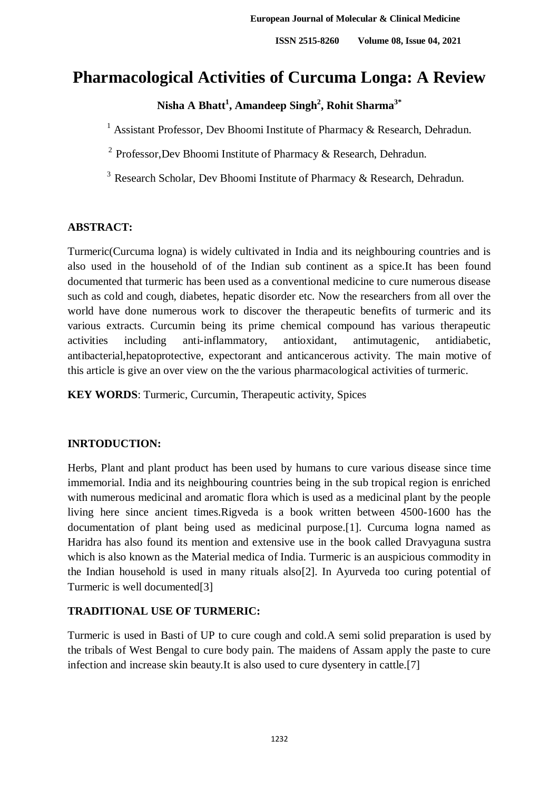# **Pharmacological Activities of Curcuma Longa: A Review**

**Nisha A Bhatt<sup>1</sup> , Amandeep Singh<sup>2</sup> , Rohit Sharma3\***

<sup>1</sup> Assistant Professor, Dev Bhoomi Institute of Pharmacy & Research, Dehradun.

<sup>2</sup> Professor, Dev Bhoomi Institute of Pharmacy & Research, Dehradun.

<sup>3</sup> Research Scholar, Dev Bhoomi Institute of Pharmacy & Research, Dehradun.

### **ABSTRACT:**

Turmeric(Curcuma logna) is widely cultivated in India and its neighbouring countries and is also used in the household of of the Indian sub continent as a spice.It has been found documented that turmeric has been used as a conventional medicine to cure numerous disease such as cold and cough, diabetes, hepatic disorder etc. Now the researchers from all over the world have done numerous work to discover the therapeutic benefits of turmeric and its various extracts. Curcumin being its prime chemical compound has various therapeutic activities including anti-inflammatory, antioxidant, antimutagenic, antidiabetic, antibacterial,hepatoprotective, expectorant and anticancerous activity. The main motive of this article is give an over view on the the various pharmacological activities of turmeric.

**KEY WORDS**: Turmeric, Curcumin, Therapeutic activity, Spices

## **INRTODUCTION:**

Herbs, Plant and plant product has been used by humans to cure various disease since time immemorial. India and its neighbouring countries being in the sub tropical region is enriched with numerous medicinal and aromatic flora which is used as a medicinal plant by the people living here since ancient times.Rigveda is a book written between 4500-1600 has the documentation of plant being used as medicinal purpose.[1]. Curcuma logna named as Haridra has also found its mention and extensive use in the book called Dravyaguna sustra which is also known as the Material medica of India. Turmeric is an auspicious commodity in the Indian household is used in many rituals also[2]. In Ayurveda too curing potential of Turmeric is well documented[3]

## **TRADITIONAL USE OF TURMERIC:**

Turmeric is used in Basti of UP to cure cough and cold.A semi solid preparation is used by the tribals of West Bengal to cure body pain. The maidens of Assam apply the paste to cure infection and increase skin beauty.It is also used to cure dysentery in cattle.[7]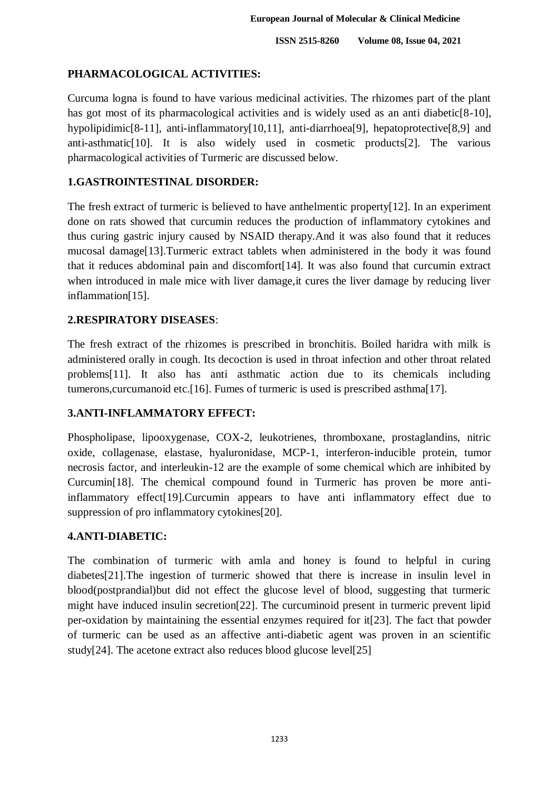#### **PHARMACOLOGICAL ACTIVITIES:**

Curcuma logna is found to have various medicinal activities. The rhizomes part of the plant has got most of its pharmacological activities and is widely used as an anti diabetic<sup>[8-10]</sup>, hypolipidimic<sup>[8-11]</sup>, anti-inflammatory<sup>[10,11]</sup>, anti-diarrhoea<sup>[9]</sup>, hepatoprotective<sup>[8,9]</sup> and anti-asthmatic[10]. It is also widely used in cosmetic products[2]. The various pharmacological activities of Turmeric are discussed below.

#### **1.GASTROINTESTINAL DISORDER:**

The fresh extract of turmeric is believed to have anthelmentic property[12]. In an experiment done on rats showed that curcumin reduces the production of inflammatory cytokines and thus curing gastric injury caused by NSAID therapy.And it was also found that it reduces mucosal damage[13].Turmeric extract tablets when administered in the body it was found that it reduces abdominal pain and discomfort[14]. It was also found that curcumin extract when introduced in male mice with liver damage, it cures the liver damage by reducing liver inflammation[15].

#### **2.RESPIRATORY DISEASES**:

The fresh extract of the rhizomes is prescribed in bronchitis. Boiled haridra with milk is administered orally in cough. Its decoction is used in throat infection and other throat related problems[11]. It also has anti asthmatic action due to its chemicals including tumerons,curcumanoid etc.[16]. Fumes of turmeric is used is prescribed asthma[17].

## **3.ANTI-INFLAMMATORY EFFECT:**

Phospholipase, lipooxygenase, COX-2, leukotrienes, thromboxane, prostaglandins, nitric oxide, collagenase, elastase, hyaluronidase, MCP-1, interferon-inducible protein, tumor necrosis factor, and interleukin-12 are the example of some chemical which are inhibited by Curcumin[18]. The chemical compound found in Turmeric has proven be more antiinflammatory effect[19].Curcumin appears to have anti inflammatory effect due to suppression of pro inflammatory cytokines[20].

#### **4.ANTI-DIABETIC:**

The combination of turmeric with amla and honey is found to helpful in curing diabetes[21].The ingestion of turmeric showed that there is increase in insulin level in blood(postprandial)but did not effect the glucose level of blood, suggesting that turmeric might have induced insulin secretion[22]. The curcuminoid present in turmeric prevent lipid per-oxidation by maintaining the essential enzymes required for it[23]. The fact that powder of turmeric can be used as an affective anti-diabetic agent was proven in an scientific study[24]. The acetone extract also reduces blood glucose level[25]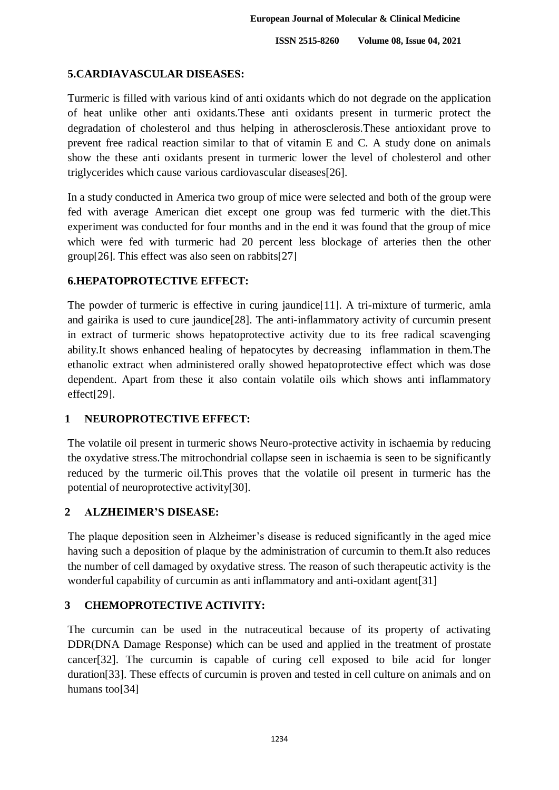#### **5.CARDIAVASCULAR DISEASES:**

Turmeric is filled with various kind of anti oxidants which do not degrade on the application of heat unlike other anti oxidants.These anti oxidants present in turmeric protect the degradation of cholesterol and thus helping in atherosclerosis.These antioxidant prove to prevent free radical reaction similar to that of vitamin E and C. A study done on animals show the these anti oxidants present in turmeric lower the level of cholesterol and other triglycerides which cause various cardiovascular diseases[26].

In a study conducted in America two group of mice were selected and both of the group were fed with average American diet except one group was fed turmeric with the diet.This experiment was conducted for four months and in the end it was found that the group of mice which were fed with turmeric had 20 percent less blockage of arteries then the other group[26]. This effect was also seen on rabbits[27]

#### **6.HEPATOPROTECTIVE EFFECT:**

The powder of turmeric is effective in curing jaundice<sup>[11]</sup>. A tri-mixture of turmeric, amla and gairika is used to cure jaundice[28]. The anti-inflammatory activity of curcumin present in extract of turmeric shows hepatoprotective activity due to its free radical scavenging ability.It shows enhanced healing of hepatocytes by decreasing inflammation in them.The ethanolic extract when administered orally showed hepatoprotective effect which was dose dependent. Apart from these it also contain volatile oils which shows anti inflammatory effect[29].

#### **1 NEUROPROTECTIVE EFFECT:**

The volatile oil present in turmeric shows Neuro-protective activity in ischaemia by reducing the oxydative stress.The mitrochondrial collapse seen in ischaemia is seen to be significantly reduced by the turmeric oil.This proves that the volatile oil present in turmeric has the potential of neuroprotective activity[30].

#### **2 ALZHEIMER'S DISEASE:**

The plaque deposition seen in Alzheimer's disease is reduced significantly in the aged mice having such a deposition of plaque by the administration of curcumin to them.It also reduces the number of cell damaged by oxydative stress. The reason of such therapeutic activity is the wonderful capability of curcumin as anti inflammatory and anti-oxidant agent[31]

## **3 CHEMOPROTECTIVE ACTIVITY:**

The curcumin can be used in the nutraceutical because of its property of activating DDR(DNA Damage Response) which can be used and applied in the treatment of prostate cancer[32]. The curcumin is capable of curing cell exposed to bile acid for longer duration[33]. These effects of curcumin is proven and tested in cell culture on animals and on humans too[34]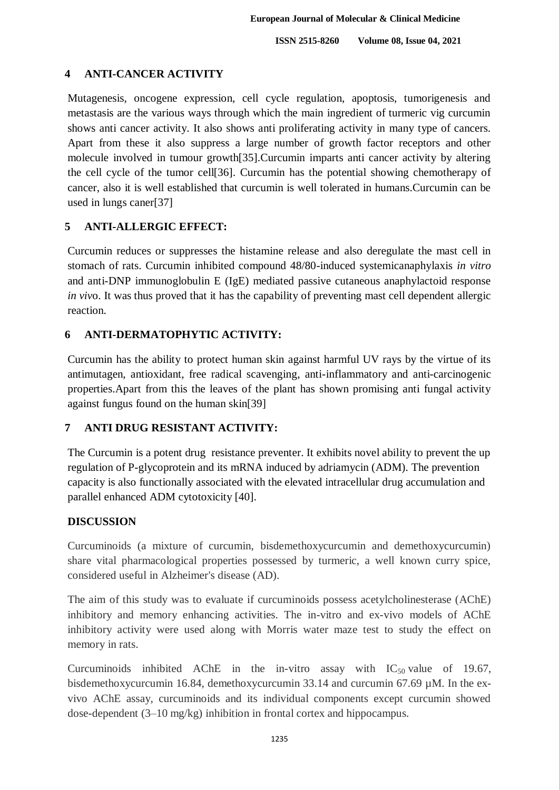### **4 ANTI-CANCER ACTIVITY**

Mutagenesis, oncogene expression, cell cycle regulation, apoptosis, tumorigenesis and metastasis are the various ways through which the main ingredient of turmeric vig curcumin shows anti cancer activity. It also shows anti proliferating activity in many type of cancers. Apart from these it also suppress a large number of growth factor receptors and other molecule involved in tumour growth[35].Curcumin imparts anti cancer activity by altering the cell cycle of the tumor cell[36]. Curcumin has the potential showing chemotherapy of cancer, also it is well established that curcumin is well tolerated in humans.Curcumin can be used in lungs caner[37]

### **5 ANTI-ALLERGIC EFFECT:**

Curcumin reduces or suppresses the histamine release and also deregulate the mast cell in stomach of rats. Curcumin inhibited compound 48/80-induced systemicanaphylaxis *in vitro* and anti-DNP immunoglobulin E (IgE) mediated passive cutaneous anaphylactoid response *in viv*o. It was thus proved that it has the capability of preventing mast cell dependent allergic reaction.

## **6 ANTI-DERMATOPHYTIC ACTIVITY:**

Curcumin has the ability to protect human skin against harmful UV rays by the virtue of its antimutagen, antioxidant, free radical scavenging, anti-inflammatory and anti-carcinogenic properties.Apart from this the leaves of the plant has shown promising anti fungal activity against fungus found on the human skin[39]

## **7 ANTI DRUG RESISTANT ACTIVITY:**

The Curcumin is a potent drug resistance preventer. It exhibits novel ability to prevent the up regulation of P-glycoprotein and its mRNA induced by adriamycin (ADM). The prevention capacity is also functionally associated with the elevated intracellular drug accumulation and parallel enhanced ADM cytotoxicity [40].

#### **DISCUSSION**

Curcuminoids (a mixture of curcumin, bisdemethoxycurcumin and demethoxycurcumin) share vital pharmacological properties possessed by turmeric, a well known curry spice, considered useful in Alzheimer's disease (AD).

The aim of this study was to evaluate if curcuminoids possess acetylcholinesterase (AChE) inhibitory and memory enhancing activities. The in-vitro and ex-vivo models of AChE inhibitory activity were used along with Morris water maze test to study the effect on memory in rats.

Curcuminoids inhibited AChE in the in-vitro assay with  $IC_{50}$  value of 19.67, bisdemethoxycurcumin 16.84, demethoxycurcumin 33.14 and curcumin 67.69 µM. In the exvivo AChE assay, curcuminoids and its individual components except curcumin showed dose-dependent (3–10 mg/kg) inhibition in frontal cortex and hippocampus.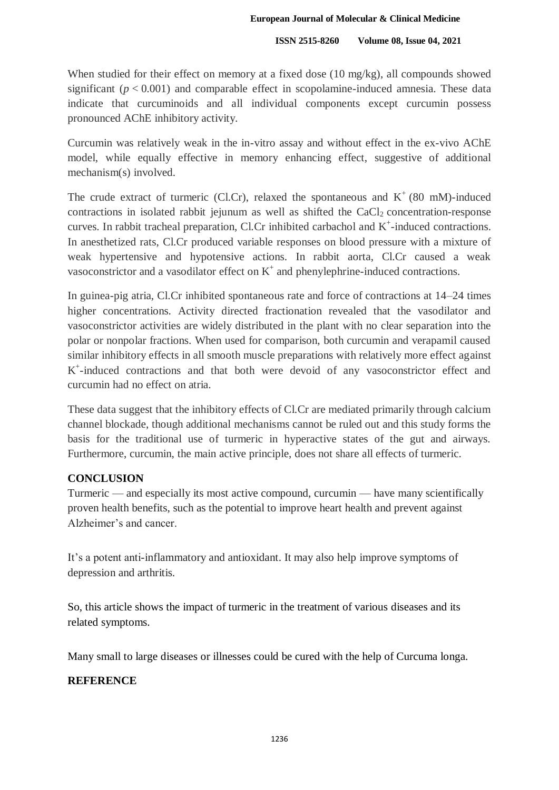When studied for their effect on memory at a fixed dose (10 mg/kg), all compounds showed significant  $(p < 0.001)$  and comparable effect in scopolamine-induced amnesia. These data indicate that curcuminoids and all individual components except curcumin possess pronounced AChE inhibitory activity.

Curcumin was relatively weak in the in-vitro assay and without effect in the ex-vivo AChE model, while equally effective in memory enhancing effect, suggestive of additional mechanism(s) involved.

The crude extract of turmeric (Cl.Cr), relaxed the spontaneous and  $K^+(80 \text{ mM})$ -induced contractions in isolated rabbit jejunum as well as shifted the  $CaCl<sub>2</sub>$  concentration-response curves. In rabbit tracheal preparation, Cl.Cr inhibited carbachol and  $K^+$ -induced contractions. In anesthetized rats, Cl.Cr produced variable responses on blood pressure with a mixture of weak hypertensive and hypotensive actions. In rabbit aorta, Cl.Cr caused a weak vasoconstrictor and a vasodilator effect on  $K^+$  and phenylephrine-induced contractions.

In guinea-pig atria, Cl.Cr inhibited spontaneous rate and force of contractions at 14–24 times higher concentrations. Activity directed fractionation revealed that the vasodilator and vasoconstrictor activities are widely distributed in the plant with no clear separation into the polar or nonpolar fractions. When used for comparison, both curcumin and verapamil caused similar inhibitory effects in all smooth muscle preparations with relatively more effect against K + -induced contractions and that both were devoid of any vasoconstrictor effect and curcumin had no effect on atria.

These data suggest that the inhibitory effects of Cl.Cr are mediated primarily through calcium channel blockade, though additional mechanisms cannot be ruled out and this study forms the basis for the traditional use of turmeric in hyperactive states of the gut and airways. Furthermore, curcumin, the main active principle, does not share all effects of turmeric.

#### **CONCLUSION**

Turmeric — and especially its most active compound, curcumin — have many scientifically proven health benefits, such as the potential to improve heart health and prevent against Alzheimer's and cancer.

It's a potent anti-inflammatory and antioxidant. It may also help improve symptoms of depression and arthritis.

So, this article shows the impact of turmeric in the treatment of various diseases and its related symptoms.

Many small to large diseases or illnesses could be cured with the help of Curcuma longa.

## **REFERENCE**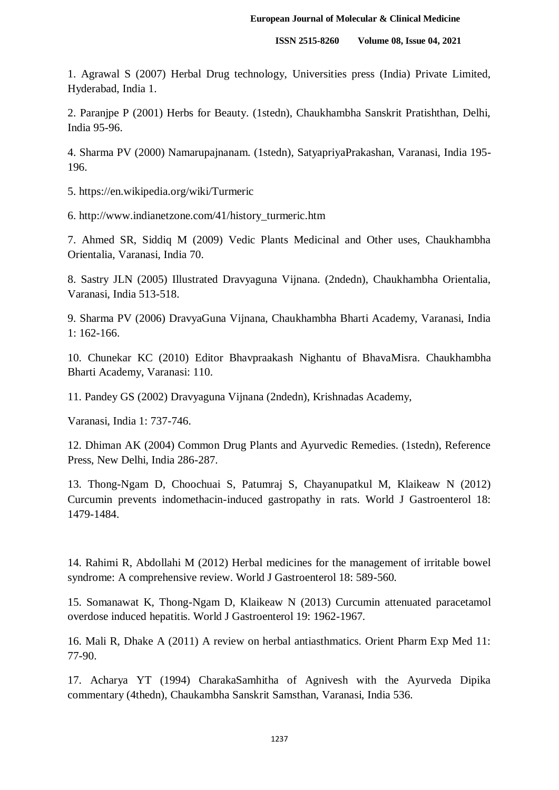1. Agrawal S (2007) Herbal Drug technology, Universities press (India) Private Limited, Hyderabad, India 1.

2. Paranjpe P (2001) Herbs for Beauty. (1stedn), Chaukhambha Sanskrit Pratishthan, Delhi, India 95-96.

4. Sharma PV (2000) Namarupajnanam. (1stedn), SatyapriyaPrakashan, Varanasi, India 195- 196.

5. https://en.wikipedia.org/wiki/Turmeric

6. http://www.indianetzone.com/41/history\_turmeric.htm

7. Ahmed SR, Siddiq M (2009) Vedic Plants Medicinal and Other uses, Chaukhambha Orientalia, Varanasi, India 70.

8. Sastry JLN (2005) Illustrated Dravyaguna Vijnana. (2ndedn), Chaukhambha Orientalia, Varanasi, India 513-518.

9. Sharma PV (2006) DravyaGuna Vijnana, Chaukhambha Bharti Academy, Varanasi, India 1: 162-166.

10. Chunekar KC (2010) Editor Bhavpraakash Nighantu of BhavaMisra. Chaukhambha Bharti Academy, Varanasi: 110.

11. Pandey GS (2002) Dravyaguna Vijnana (2ndedn), Krishnadas Academy,

Varanasi, India 1: 737-746.

12. Dhiman AK (2004) Common Drug Plants and Ayurvedic Remedies. (1stedn), Reference Press, New Delhi, India 286-287.

13. Thong-Ngam D, Choochuai S, Patumraj S, Chayanupatkul M, Klaikeaw N (2012) Curcumin prevents indomethacin-induced gastropathy in rats. World J Gastroenterol 18: 1479-1484.

14. Rahimi R, Abdollahi M (2012) Herbal medicines for the management of irritable bowel syndrome: A comprehensive review. World J Gastroenterol 18: 589-560.

15. Somanawat K, Thong-Ngam D, Klaikeaw N (2013) Curcumin attenuated paracetamol overdose induced hepatitis. World J Gastroenterol 19: 1962-1967.

16. Mali R, Dhake A (2011) A review on herbal antiasthmatics. Orient Pharm Exp Med 11: 77-90.

17. Acharya YT (1994) CharakaSamhitha of Agnivesh with the Ayurveda Dipika commentary (4thedn), Chaukambha Sanskrit Samsthan, Varanasi, India 536.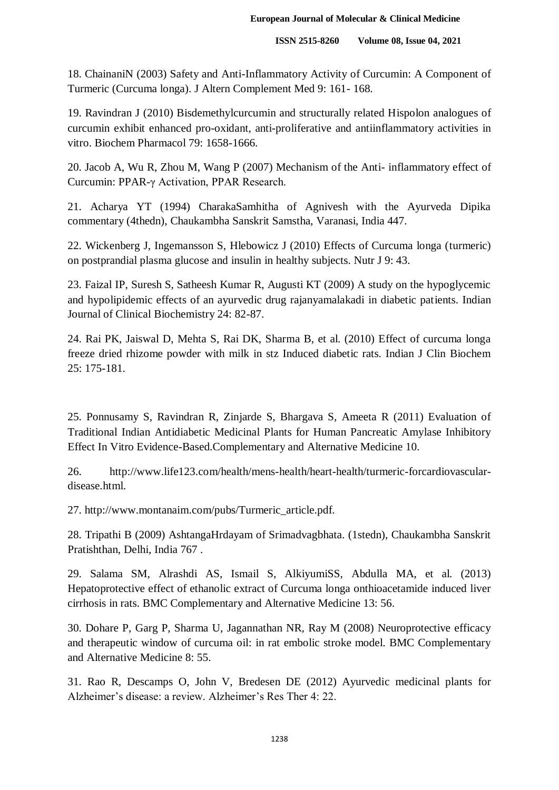18. ChainaniN (2003) Safety and Anti-Inflammatory Activity of Curcumin: A Component of Turmeric (Curcuma longa). J Altern Complement Med 9: 161- 168.

19. Ravindran J (2010) Bisdemethylcurcumin and structurally related Hispolon analogues of curcumin exhibit enhanced pro-oxidant, anti-proliferative and antiinflammatory activities in vitro. Biochem Pharmacol 79: 1658-1666.

20. Jacob A, Wu R, Zhou M, Wang P (2007) Mechanism of the Anti- inflammatory effect of Curcumin: PPAR-γ Activation, PPAR Research.

21. Acharya YT (1994) CharakaSamhitha of Agnivesh with the Ayurveda Dipika commentary (4thedn), Chaukambha Sanskrit Samstha, Varanasi, India 447.

22. Wickenberg J, Ingemansson S, Hlebowicz J (2010) Effects of Curcuma longa (turmeric) on postprandial plasma glucose and insulin in healthy subjects. Nutr J 9: 43.

23. Faizal IP, Suresh S, Satheesh Kumar R, Augusti KT (2009) A study on the hypoglycemic and hypolipidemic effects of an ayurvedic drug rajanyamalakadi in diabetic patients. Indian Journal of Clinical Biochemistry 24: 82-87.

24. Rai PK, Jaiswal D, Mehta S, Rai DK, Sharma B, et al. (2010) Effect of curcuma longa freeze dried rhizome powder with milk in stz Induced diabetic rats. Indian J Clin Biochem 25: 175-181.

25. Ponnusamy S, Ravindran R, Zinjarde S, Bhargava S, Ameeta R (2011) Evaluation of Traditional Indian Antidiabetic Medicinal Plants for Human Pancreatic Amylase Inhibitory Effect In Vitro Evidence-Based.Complementary and Alternative Medicine 10.

26. http://www.life123.com/health/mens-health/heart-health/turmeric-forcardiovasculardisease.html.

27. http://www.montanaim.com/pubs/Turmeric\_article.pdf.

28. Tripathi B (2009) AshtangaHrdayam of Srimadvagbhata. (1stedn), Chaukambha Sanskrit Pratishthan, Delhi, India 767 .

29. Salama SM, Alrashdi AS, Ismail S, AlkiyumiSS, Abdulla MA, et al. (2013) Hepatoprotective effect of ethanolic extract of Curcuma longa onthioacetamide induced liver cirrhosis in rats. BMC Complementary and Alternative Medicine 13: 56.

30. Dohare P, Garg P, Sharma U, Jagannathan NR, Ray M (2008) Neuroprotective efficacy and therapeutic window of curcuma oil: in rat embolic stroke model. BMC Complementary and Alternative Medicine 8: 55.

31. Rao R, Descamps O, John V, Bredesen DE (2012) Ayurvedic medicinal plants for Alzheimer's disease: a review. Alzheimer's Res Ther 4: 22.